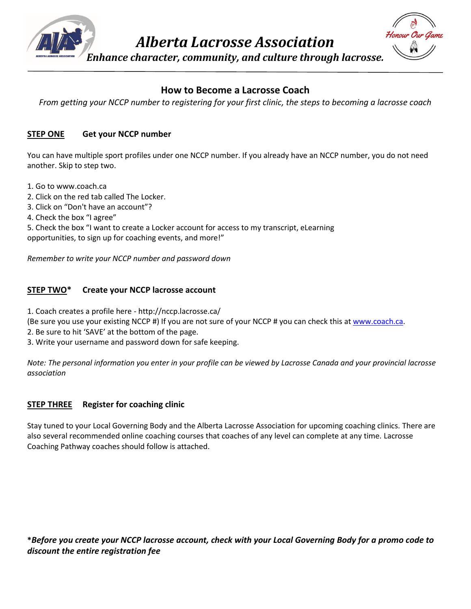

*Alberta Lacrosse Association*

*Enhance character, community, and culture through lacrosse.*



## **How to Become a Lacrosse Coach**

*From getting your NCCP number to registering for your first clinic, the steps to becoming a lacrosse coach*

## **STEP ONE Get your NCCP number**

You can have multiple sport profiles under one NCCP number. If you already have an NCCP number, you do not need another. Skip to step two.

- 1. Go to www.coach.ca
- 2. Click on the red tab called The Locker.
- 3. Click on "Don't have an account"?
- 4. Check the box "I agree"

5. Check the box "I want to create a Locker account for access to my transcript, eLearning opportunities, to sign up for coaching events, and more!"

*Remember to write your NCCP number and password down*

## **STEP TWO\* Create your NCCP lacrosse account**

1. Coach creates a profile here - http://nccp.lacrosse.ca/

(Be sure you use your existing NCCP #) If you are not sure of your NCCP # you can check this at [www.coach.ca.](http://www.coach.ca/)

- 2. Be sure to hit 'SAVE' at the bottom of the page.
- 3. Write your username and password down for safe keeping.

*Note: The personal information you enter in your profile can be viewed by Lacrosse Canada and your provincial lacrosse association*

## **STEP THREE Register for coaching clinic**

Stay tuned to your Local Governing Body and the Alberta Lacrosse Association for upcoming coaching clinics. There are also several recommended online coaching courses that coaches of any level can complete at any time. Lacrosse Coaching Pathway coaches should follow is attached.

**\****Before you create your NCCP lacrosse account, check with your Local Governing Body for a promo code to discount the entire registration fee*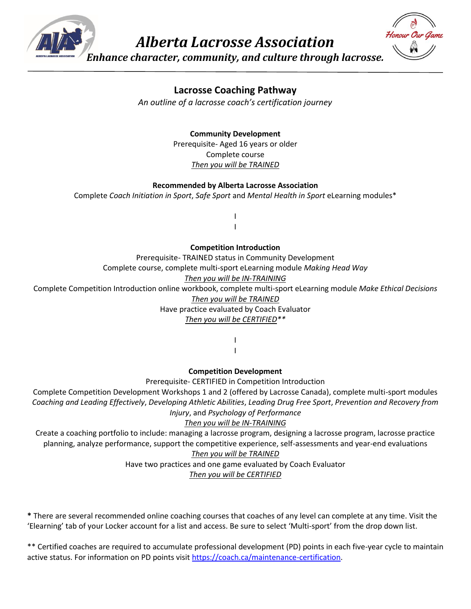

*Alberta Lacrosse Association*



*Enhance character, community, and culture through lacrosse.*

# **Lacrosse Coaching Pathway**

*An outline of a lacrosse coach's certification journey*

## **Community Development**

Prerequisite- Aged 16 years or older Complete course *Then you will be TRAINED*

#### **Recommended by Alberta Lacrosse Association**

Complete *Coach Initiation in Sport*, *Safe Sport* and *Mental Health in Sport* eLearning modules\*

I I

#### **Competition Introduction**

Prerequisite- TRAINED status in Community Development Complete course, complete multi-sport eLearning module *Making Head Way Then you will be IN-TRAINING* Complete Competition Introduction online workbook, complete multi-sport eLearning module *Make Ethical Decisions Then you will be TRAINED* Have practice evaluated by Coach Evaluator *Then you will be CERTIFIED\*\**

> I I

#### **Competition Development**

Prerequisite- CERTIFIED in Competition Introduction

Complete Competition Development Workshops 1 and 2 (offered by Lacrosse Canada), complete multi-sport modules *Coaching and Leading Effectively*, *Developing Athletic Abilities*, *Leading Drug Free Sport*, *Prevention and Recovery from Injury*, and *Psychology of Performance*

## *Then you will be IN-TRAINING*

Create a coaching portfolio to include: managing a lacrosse program, designing a lacrosse program, lacrosse practice planning, analyze performance, support the competitive experience, self-assessments and year-end evaluations

## *Then you will be TRAINED*

Have two practices and one game evaluated by Coach Evaluator

*Then you will be CERTIFIED*

**\*** There are several recommended online coaching courses that coaches of any level can complete at any time. Visit the 'Elearning' tab of your Locker account for a list and access. Be sure to select 'Multi-sport' from the drop down list.

\*\* Certified coaches are required to accumulate professional development (PD) points in each five-year cycle to maintain active status. For information on PD points visi[t https://coach.ca/maintenance-certification.](https://coach.ca/maintenance-certification)